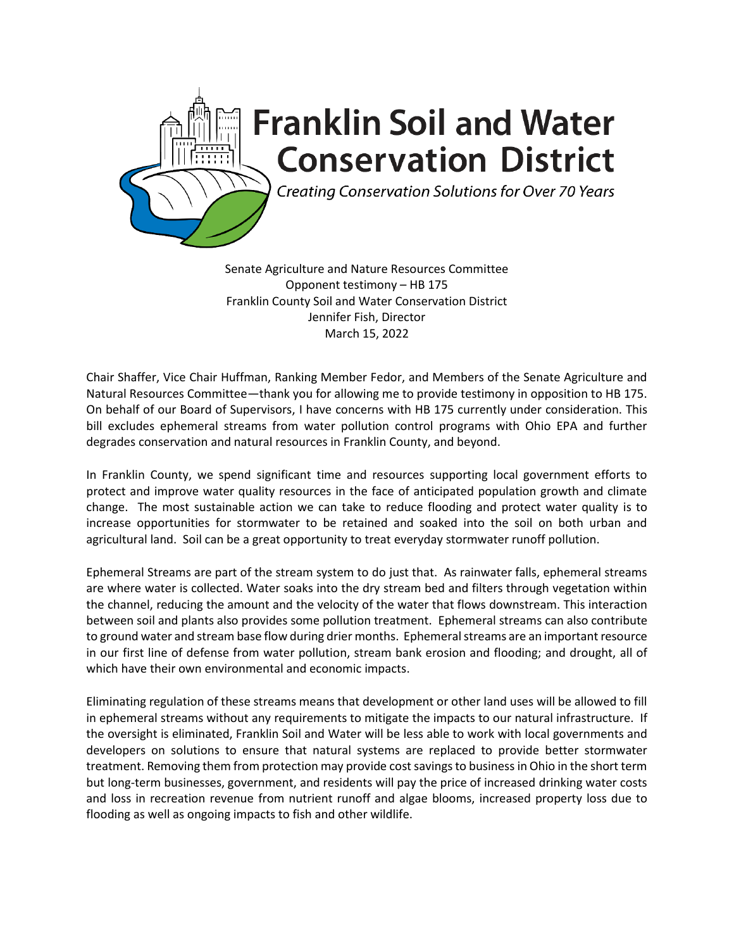

Senate Agriculture and Nature Resources Committee Opponent testimony – HB 175 Franklin County Soil and Water Conservation District Jennifer Fish, Director March 15, 2022

Chair Shaffer, Vice Chair Huffman, Ranking Member Fedor, and Members of the Senate Agriculture and Natural Resources Committee—thank you for allowing me to provide testimony in opposition to HB 175. On behalf of our Board of Supervisors, I have concerns with HB 175 currently under consideration. This bill excludes ephemeral streams from water pollution control programs with Ohio EPA and further degrades conservation and natural resources in Franklin County, and beyond.

In Franklin County, we spend significant time and resources supporting local government efforts to protect and improve water quality resources in the face of anticipated population growth and climate change. The most sustainable action we can take to reduce flooding and protect water quality is to increase opportunities for stormwater to be retained and soaked into the soil on both urban and agricultural land. Soil can be a great opportunity to treat everyday stormwater runoff pollution.

Ephemeral Streams are part of the stream system to do just that. As rainwater falls, ephemeral streams are where water is collected. Water soaks into the dry stream bed and filters through vegetation within the channel, reducing the amount and the velocity of the water that flows downstream. This interaction between soil and plants also provides some pollution treatment. Ephemeral streams can also contribute to ground water and stream base flow during drier months. Ephemeral streams are an important resource in our first line of defense from water pollution, stream bank erosion and flooding; and drought, all of which have their own environmental and economic impacts.

Eliminating regulation of these streams means that development or other land uses will be allowed to fill in ephemeral streams without any requirements to mitigate the impacts to our natural infrastructure. If the oversight is eliminated, Franklin Soil and Water will be less able to work with local governments and developers on solutions to ensure that natural systems are replaced to provide better stormwater treatment. Removing them from protection may provide cost savings to business in Ohio in the short term but long-term businesses, government, and residents will pay the price of increased drinking water costs and loss in recreation revenue from nutrient runoff and algae blooms, increased property loss due to flooding as well as ongoing impacts to fish and other wildlife.